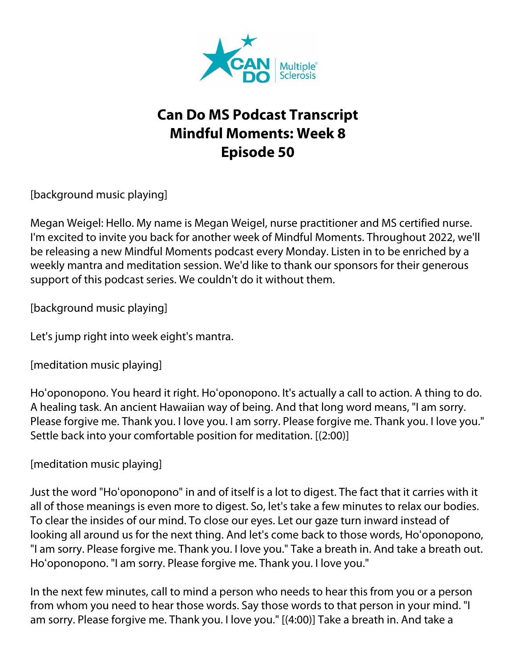

## **Can Do MS Podcast Transcript Mindful Moments: Week 8 Episode 50**

[background music playing]

Megan Weigel: Hello. My name is Megan Weigel, nurse practitioner and MS certified nurse. I'm excited to invite you back for another week of Mindful Moments. Throughout 2022, we'll be releasing a new Mindful Moments podcast every Monday. Listen in to be enriched by a weekly mantra and meditation session. We'd like to thank our sponsors for their generous support of this podcast series. We couldn't do it without them.

[background music playing]

Let's jump right into week eight's mantra.

[meditation music playing]

Hoʻoponopono. You heard it right. Hoʻoponopono. It's actually a call to action. A thing to do. A healing task. An ancient Hawaiian way of being. And that long word means, "I am sorry. Please forgive me. Thank you. I love you. I am sorry. Please forgive me. Thank you. I love you." Settle back into your comfortable position for meditation. [(2:00)]

[meditation music playing]

Just the word "Hoʻoponopono" in and of itself is a lot to digest. The fact that it carries with it all of those meanings is even more to digest. So, let's take a few minutes to relax our bodies. To clear the insides of our mind. To close our eyes. Let our gaze turn inward instead of looking all around us for the next thing. And let's come back to those words, Hoʻoponopono, "I am sorry. Please forgive me. Thank you. I love you." Take a breath in. And take a breath out. Hoʻoponopono. "I am sorry. Please forgive me. Thank you. I love you."

In the next few minutes, call to mind a person who needs to hear this from you or a person from whom you need to hear those words. Say those words to that person in your mind. "I am sorry. Please forgive me. Thank you. I love you." [(4:00)] Take a breath in. And take a